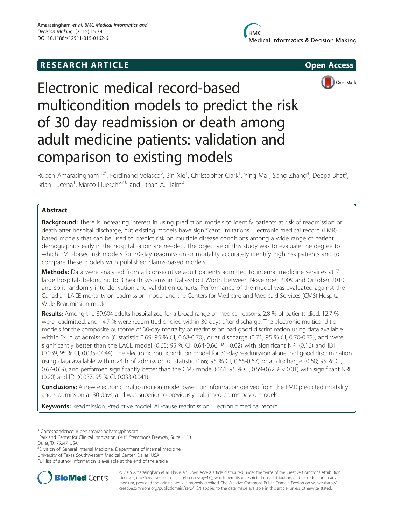# **RESEARCH ARTICLE Example 2014 12:30 The SEAR CHA RTICLE**





# Electronic medical record-based multicondition models to predict the risk of 30 day readmission or death among adult medicine patients: validation and comparison to existing models

Ruben Amarasingham<sup>1,2\*</sup>, Ferdinand Velasco<sup>3</sup>, Bin Xie<sup>1</sup>, Christopher Clark<sup>1</sup>, Ying Ma<sup>1</sup>, Song Zhang<sup>4</sup>, Deepa Bhat<sup>5</sup> .<br>. Brian Lucena<sup>1</sup>, Marco Huesch<sup>6,7,8</sup> and Ethan A. Halm<sup>2</sup>

# Abstract

Background: There is increasing interest in using prediction models to identify patients at risk of readmission or death after hospital discharge, but existing models have significant limitations. Electronic medical record (EMR) based models that can be used to predict risk on multiple disease conditions among a wide range of patient demographics early in the hospitalization are needed. The objective of this study was to evaluate the degree to which EMR-based risk models for 30-day readmission or mortality accurately identify high risk patients and to compare these models with published claims-based models.

Methods: Data were analyzed from all consecutive adult patients admitted to internal medicine services at 7 large hospitals belonging to 3 health systems in Dallas/Fort Worth between November 2009 and October 2010 and split randomly into derivation and validation cohorts. Performance of the model was evaluated against the Canadian LACE mortality or readmission model and the Centers for Medicare and Medicaid Services (CMS) Hospital Wide Readmission model.

Results: Among the 39,604 adults hospitalized for a broad range of medical reasons, 2.8 % of patients died, 12.7 % were readmitted, and 14.7 % were readmitted or died within 30 days after discharge. The electronic multicondition models for the composite outcome of 30-day mortality or readmission had good discrimination using data available within 24 h of admission (C statistic 0.69; 95 % CI, 0.68-0.70), or at discharge (0.71; 95 % CI, 0.70-0.72), and were significantly better than the LACE model (0.65; 95 % CI, 0.64-0.66;  $P = 0.02$ ) with significant NRI (0.16) and IDI (0.039, 95 % CI, 0.035-0.044). The electronic multicondition model for 30-day readmission alone had good discrimination using data available within 24 h of admission (C statistic 0.66; 95 % CI, 0.65-0.67) or at discharge (0.68; 95 % CI, 0.67-0.69), and performed significantly better than the CMS model (0.61; 95 % CI, 0.59-0.62; P < 0.01) with significant NRI (0.20) and IDI (0.037, 95 % CI, 0.033-0.041).

Conclusions: A new electronic multicondition model based on information derived from the EMR predicted mortality and readmission at 30 days, and was superior to previously published claims-based models.

Keywords: Readmission, Predictive model, All-cause readmission, Electronic medical record

\* Correspondence: [ruben.amarasingham@phhs.org](mailto:ruben.amarasingham@phhs.org) <sup>1</sup>

<sup>1</sup>Parkland Center for Clinical Innovation, 8435 Stemmons Freeway, Suite 1150, Dallas, TX 75247, USA

<sup>2</sup> Division of General Internal Medicine, Department of Internal Medicine, University of Texas Southwestern Medical Center, Dallas, USA

Full list of author information is available at the end of the article



© 2015 Amarasingham et al. This is an Open Access article distributed under the terms of the Creative Commons Attribution License (<http://creativecommons.org/licenses/by/4.0>), which permits unrestricted use, distribution, and reproduction in any medium, provided the original work is properly credited. The Creative Commons Public Domain Dedication waiver [\(http://](http://creativecommons.org/publicdomain/zero/1.0/) [creativecommons.org/publicdomain/zero/1.0/\)](http://creativecommons.org/publicdomain/zero/1.0/) applies to the data made available in this article, unless otherwise stated.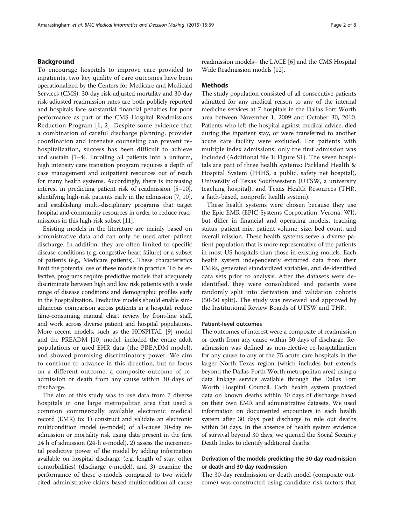#### Background

To encourage hospitals to improve care provided to inpatients, two key quality of care outcomes have been operationalized by the Centers for Medicare and Medicaid Services (CMS). 30-day risk-adjusted mortality and 30-day risk-adjusted readmission rates are both publicly reported and hospitals face substantial financial penalties for poor performance as part of the CMS Hospital Readmissions Reduction Program [[1](#page-7-0), [2](#page-7-0)]. Despite some evidence that a combination of careful discharge planning, provider coordination and intensive counseling can prevent rehospitalization, success has been difficult to achieve and sustain [\[1](#page-7-0)–[4\]](#page-7-0). Enrolling all patients into a uniform, high intensity care transition program requires a depth of case management and outpatient resources out of reach for many health systems. Accordingly, there is increasing interest in predicting patient risk of readmission [\[5](#page-7-0)–[10](#page-7-0)], identifying high-risk patients early in the admission [\[7, 10](#page-7-0)], and establishing multi-disciplinary programs that target hospital and community resources in order to reduce readmissions in this high-risk subset [[11](#page-7-0)].

Existing models in the literature are mainly based on administrative data and can only be used after patient discharge. In addition, they are often limited to specific disease conditions (e.g. congestive heart failure) or a subset of patients (e.g., Medicare patients). These characteristics limit the potential use of these models in practice. To be effective, programs require predictive models that adequately discriminate between high and low risk patients with a wide range of disease conditions and demographic profiles early in the hospitalization. Predictive models should enable simultaneous comparison across patients in a hospital, reduce time-consuming manual chart review by front-line staff, and work across diverse patient and hospital populations. More recent models, such as the HOSPITAL [\[9](#page-7-0)] model and the PREADM [\[10](#page-7-0)] model, included the entire adult populations or used EHR data (the PREADM model), and showed promising discriminatory power. We aim to continue to advance in this direction, but to focus on a different outcome, a composite outcome of readmission or death from any cause within 30 days of discharge.

The aim of this study was to use data from 7 diverse hospitals in one large metropolitan area that used a common commercially available electronic medical record (EMR) to: 1) construct and validate an electronic multicondition model (e-model) of all-cause 30-day readmission or mortality risk using data present in the first 24 h of admission (24-h e-model), 2) assess the incremental predictive power of the model by adding information available on hospital discharge (e.g. length of stay, other comorbidities) (discharge e-model), and 3) examine the performance of these e-models compared to two widely cited, administrative claims-based multicondition all-cause readmission models– the LACE [\[6](#page-7-0)] and the CMS Hospital Wide Readmission models [\[12](#page-7-0)].

# **Methods**

The study population consisted of all consecutive patients admitted for any medical reason to any of the internal medicine services at 7 hospitals in the Dallas Fort Worth area between November 1, 2009 and October 30, 2010. Patients who left the hospital against medical advice, died during the inpatient stay, or were transferred to another acute care facility were excluded. For patients with multiple index admissions, only the first admission was included (Additional file [1](#page-6-0): Figure S1). The seven hospitals are part of three health systems: Parkland Health & Hospital System (PHHS, a public, safety net hospital), University of Texas Southwestern (UTSW, a university teaching hospital), and Texas Health Resources (THR, a faith-based, nonprofit health system).

These health systems were chosen because they use the Epic EMR (EPIC Systems Corporation, Verona, WI), but differ in financial and operating models, teaching status, patient mix, patient volume, size, bed count, and overall mission. These health systems serve a diverse patient population that is more representative of the patients in most US hospitals than those in existing models. Each health system independently extracted data from their EMRs, generated standardized variables, and de-identified data sets prior to analysis. After the datasets were deidentified, they were consolidated and patients were randomly split into derivation and validation cohorts (50-50 split). The study was reviewed and approved by the Institutional Review Boards of UTSW and THR.

#### Patient-level outcomes

The outcomes of interest were a composite of readmission or death from any cause within 30 days of discharge. Readmission was defined as non-elective re-hospitalization for any cause to any of the 75 acute care hospitals in the larger North Texas region (which includes but extends beyond the Dallas-Forth Worth metropolitan area) using a data linkage service available through the Dallas Fort Worth Hospital Council. Each health system provided data on known deaths within 30 days of discharge based on their own EMR and administrative datasets. We used information on documented encounters in each health system after 30 days post discharge to rule out deaths within 30 days. In the absence of health system evidence of survival beyond 30 days, we queried the Social Security Death Index to identify additional deaths.

# Derivation of the models predicting the 30-day readmission or death and 30-day readmission

The 30-day readmission or death model (composite outcome) was constructed using candidate risk factors that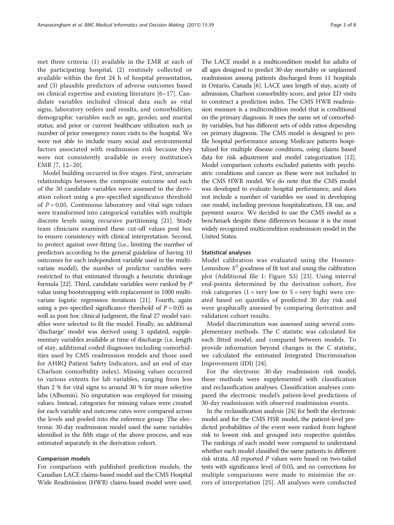met three criteria: (1) available in the EMR at each of the participating hospital, (2) routinely collected or available within the first 24 h of hospital presentation, and (3) plausible predictors of adverse outcomes based on clinical expertise and existing literature [[6](#page-7-0)–[17\]](#page-7-0). Candidate variables included clinical data such as vital signs, laboratory orders and results, and comorbidities; demographic variables such as age, gender, and marital status; and prior or current healthcare utilization such as number of prior emergency room visits to the hospital. We were not able to include many social and environmental factors associated with readmission risk because they were not consistently available in every institution's EMR [[7](#page-7-0), [12](#page-7-0)–[20](#page-7-0)].

Model building occurred in five stages. First, univariate relationships between the composite outcome and each of the 30 candidate variables were assessed in the derivation cohort using a pre-specified significance threshold of  $P = 0.05$ . Continuous laboratory and vital sign values were transformed into categorical variables with multiple discrete levels using recursive partitioning [[21\]](#page-7-0). Study team clinicians examined these cut-off values post hoc to ensure consistency with clinical interpretation. Second, to protect against over-fitting (i.e., limiting the number of predictors according to the general guideline of having 10 outcomes for each independent variable used in the multivariate model), the number of predictor variables were restricted to that estimated through a heuristic shrinkage formula [\[22](#page-7-0)]. Third, candidate variables were ranked by P value using bootstrapping with replacement in 1000 multivariate logistic regression iterations [\[21\]](#page-7-0). Fourth, again using a pre-specified significance threshold of  $P = 0.05$  as well as post hoc clinical judgment, the final 27 model variables were selected to fit the model. Finally, an additional 'discharge' model was derived using 3 updated, supplementary variables available at time of discharge (i.e. length of stay, additional coded diagnoses including comorbidities used by CMS readmission models and those used for AHRQ Patient Safety Indicators, and an end of stay Charlson comorbidity index). Missing values occurred to various extents for lab variables, ranging from less than 2 % for vital signs to around 30 % for more selective labs (Albumin). No imputation was employed for missing values. Instead, categories for missing values were created for each variable and outcome rates were compared across the levels and pooled into the reference group. The electronic 30-day readmission model used the same variables identified in the fifth stage of the above process, and was estimated separately in the derivation cohort.

#### Comparison models

For comparison with published prediction models, the Canadian LACE claims-based model and the CMS Hospital Wide Readmission (HWR) claims-based model were used.

The LACE model is a multicondition model for adults of all ages designed to predict 30-day mortality or unplanned readmission among patients discharged from 11 hospitals in Ontario, Canada [[6](#page-7-0)]. LACE uses length of stay, acuity of admission, Charlson comorbidity score, and prior ED visits to construct a prediction index. The CMS HWR readmission measure is a multicondition model that is conditional on the primary diagnosis. It uses the same set of comorbidity variables, but has different sets of odds ratios depending on primary diagnosis. The CMS model is designed to profile hospital performance among Medicare patients hospitalized for multiple disease conditions, using claims based data for risk adjustment and model categorization [\[12](#page-7-0)]. Model comparison cohorts excluded patients with psychiatric conditions and cancer as these were not included in the CMS HWR model. We do note that the CMS model was developed to evaluate hospital performance, and does not include a number of variables we used in developing our model, including previous hospitalizations, ER use, and payment source. We decided to use the CMS model as a benchmark despite these differences because it is the most widely recognized multicondition readmission model in the United States.

# Statistical analyses

Model calibration was evaluated using the Hosmer-Lemeshow  $X^2$  goodness of fit test and using the calibration plot (Additional file [1:](#page-6-0) Figure S3) [\[23](#page-7-0)]. Using interval end-points determined by the derivation cohort, five risk categories  $(1 = \text{very low to } 5 = \text{very high})$  were created based on quintiles of predicted 30 day risk and were graphically assessed by comparing derivation and validation cohort results.

Model discrimination was assessed using several complementary methods. The C statistic was calculated for each fitted model, and compared between models. To provide information beyond changes in the C statistic, we calculated the estimated Integrated Discrimination Improvement (IDI) [\[24](#page-7-0)].

For the electronic 30-day readmission risk model, these methods were supplemented with classification and reclassification analyses. Classification analyses compared the electronic model's patient-level predictions of 30-day readmission with observed readmission events.

In the reclassification analysis [[24](#page-7-0)] for both the electronic model and for the CMS HSR model, the patient-level predicted probabilities of the event were ranked from highest risk to lowest risk and grouped into respective quintiles. The rankings of each model were compared to understand whether each model classified the same patients in different risk strata. All reported  $P$  values were based on two-tailed tests with significance level of 0.05, and no corrections for multiple comparisons were made to minimize the errors of interpretation [\[25](#page-7-0)]. All analyses were conducted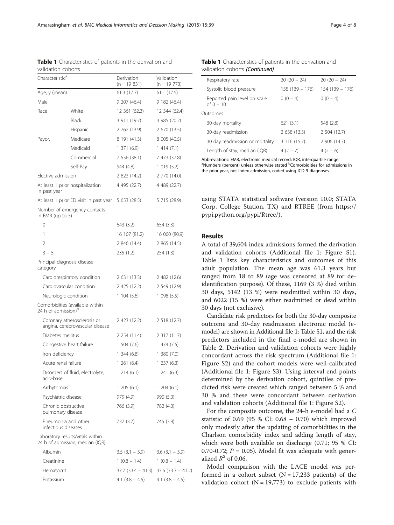using STATA statistical software (version 10.0; STATA Corp, College Station, TX) and RTREE (from [https://](https://pypi.python.org/pypi/Rtree/)

# Results

[pypi.python.org/pypi/Rtree/](https://pypi.python.org/pypi/Rtree/)).

A total of 39,604 index admissions formed the derivation and validation cohorts (Additional file [1:](#page-6-0) Figure S1). Table 1 lists key characteristics and outcomes of this adult population. The mean age was 61.3 years but ranged from 18 to 89 (age was censored at 89 for deidentification purpose). Of these, 1169 (3 %) died within 30 days, 5142 (13 %) were readmitted within 30 days, and 6022 (15 %) were either readmitted or dead within 30 days (not exclusive).

Candidate risk predictors for both the 30-day composite outcome and 30-day readmission electronic model (emodel) are shown in Additional file [1](#page-6-0): Table S1, and the risk predictors included in the final e-model are shown in Table [2](#page-4-0). Derivation and validation cohorts were highly concordant across the risk spectrum (Additional file [1](#page-6-0): Figure S2) and the cohort models were well-calibrated (Additional file [1:](#page-6-0) Figure S3). Using interval end-points determined by the derivation cohort, quintiles of predicted risk were created which ranged between 5 % and 30 % and these were concordant between derivation and validation cohorts (Additional file [1](#page-6-0): Figure S2).

For the composite outcome, the 24-h e-model had a C statistic of 0.69 (95 % CI: 0.68 – 0.70) which improved only modestly after the updating of comorbidities in the Charlson comorbidity index and adding length of stay, which were both available on discharge (0.71; 95 % CI: 0.70-0.72;  $P = 0.05$ ). Model fit was adequate with generalized  $R^2$  of 0.06.

Model comparison with the LACE model was performed in a cohort subset  $(N = 17,233$  patients) of the validation cohort ( $N = 19,773$ ) to exclude patients with

Table 1 Characteristics of patients in the derivation and validation cohorts

| Characteristic <sup>d</sup>     |                                                                     | Derivation<br>$(n = 19831)$                   | Validation<br>(n = 19 773) |
|---------------------------------|---------------------------------------------------------------------|-----------------------------------------------|----------------------------|
| Age, y (mean)                   |                                                                     | 61.3 (17.7)                                   | 61.1 (17.5)                |
| Male                            |                                                                     | 9 207 (46.4)                                  | 9 182 (46.4)               |
| Race                            | White                                                               | 12 361 (62.3)                                 | 12 344 (62.4)              |
|                                 | <b>Black</b>                                                        | 3 911 (19.7)                                  | 3 985 (20.2)               |
|                                 | Hispanic                                                            | 2 762 (13.9)                                  | 2 670 (13.5)               |
| Payor,                          | Medicare                                                            | 8 191 (41.3)                                  | 8 005 (40.5)               |
|                                 | Medicaid                                                            | 1371(6.9)                                     | 1414(7.1)                  |
|                                 | Commercial                                                          | 7 556 (38.1)                                  | 7 473 (37.8)               |
|                                 | Self-Pay                                                            | 944 (4.8)                                     | 1019(5.2)                  |
| Elective admission              |                                                                     | 2 823 (14.2)                                  | 2 770 (14.0)               |
| in past year                    | At least 1 prior hospitalization                                    | 4 495 (22.7)                                  | 4 489 (22.7)               |
|                                 | At least 1 prior ED visit in past year                              | 5 653 (28.5)                                  | 5 715 (28.9)               |
| in EMR (up to 5)                | Number of emergency contacts                                        |                                               |                            |
| 0                               |                                                                     | 643 (3.2)                                     | 654 (3.3)                  |
| 1                               |                                                                     | 16 107 (81.2)                                 | 16 000 (80.9)              |
| 2                               |                                                                     | 2 846 (14.4)                                  | 2 865 (14.5)               |
| $3 - 5$                         |                                                                     | 235 (1.2)                                     | 254 (1.3)                  |
| category                        | Principal diagnosis disease                                         |                                               |                            |
|                                 | Cardiorespiratory condition                                         | 2 631 (13.3)                                  | 2 482 (12.6)               |
|                                 | Cardiovascular condition                                            | 2 425 (12.2)                                  | 2 549 (12.9)               |
|                                 | Neurologic condition                                                | 1104(5.6)                                     | 1 098 (5.5)                |
| 24 h of admission) <sup>b</sup> | Comorbidities (available within                                     |                                               |                            |
|                                 | Coronary atherosclerosis or<br>angina, cerebrovascular disease      | 2 423 (12.2)                                  | 2 518 (12.7)               |
| Diabetes mellitus               |                                                                     | 2 254 (11.4)                                  | 2 317 (11.7)               |
|                                 | Congestive heart failure                                            | 1504(7.6)                                     | 1474(7.5)                  |
| Iron deficiency                 |                                                                     | 1,344(6.8)                                    | 1380(7.0)                  |
|                                 | Acute renal failure                                                 | 1,261(6.4)                                    | 1237(6.3)                  |
| acid-base                       | Disorders of fluid, electrolyte,                                    | 1214(6.1)                                     | 1241(6.3)                  |
| Arrhythmias                     |                                                                     | 1,205(6.1)                                    | 1204(6.1)                  |
|                                 | Psychiatric disease                                                 | 979 (4.9)                                     | 990 (5.0)                  |
|                                 | Chronic obstructive<br>pulmonary disease                            | 766 (3.9)                                     | 782 (4.0)                  |
|                                 | Pneumonia and other<br>infectious diseases                          | 737 (3.7)                                     | 745 (3.8)                  |
|                                 | Laboratory results/vitals within<br>24 h of admission, median (IQR) |                                               |                            |
| Albumin                         |                                                                     | $3.5(3.1 - 3.9)$                              | $3.6$ $(3.1 - 3.9)$        |
| Creatinine                      |                                                                     | $1(0.8 - 1.4)$                                | $1(0.8 - 1.4)$             |
| Hematocrit                      |                                                                     | $37.7$ $(33.4 - 41.3)$ $37.6$ $(33.3 - 41.2)$ |                            |
| Potassium                       |                                                                     | 4.1 $(3.8 - 4.5)$                             | $4.1$ $(3.8 - 4.5)$        |

Table 1 Characteristics of patients in the derivation and

| Respiratory rate                            | $20(20 - 24)$    | $20(20 - 24)$    |
|---------------------------------------------|------------------|------------------|
| Systolic blood pressure                     | $155(139 - 176)$ | $154(139 - 176)$ |
| Reported pain level on scale<br>of $0 - 10$ | $0(0-4)$         | $0(0-4)$         |
| Outcomes                                    |                  |                  |
| 30-day mortality                            | 621(3.1)         | 548 (2.8)        |
| 30-day readmission                          | 2638(13.3)       | 2 504 (12.7)     |
| 30 day readmission or mortality             | 3 116 (15.7)     | 2 906 (14.7)     |
| Length of stay, median (IQR)                | $4(2 - 7)$       | $4(2-6)$         |

Abbreviations: EMR, electronic medical record; IQR, interquartile range.<br><sup>a</sup>Numbers (percent) unless otherwise stated <sup>b</sup>Comorbidities for admissions in the prior year, not index admission, coded using ICD-9 diagnoses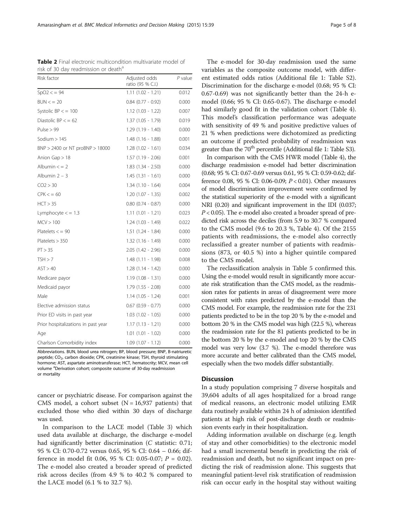Abbreviations. BUN, blood urea nitrogen; BP, blood pressure; BNP, B-natriuretic peptide;  $CO<sub>2</sub>$ , carbon dioxide; CPK, creatinine kinase; TSH, thyroid stimulating hormone; AST, aspartate aminotransferase; HCT, hematocrity; MCV, mean cell volume <sup>a</sup>Derivation cohort; composite outcome of 30-day readmission or mortality

cancer or psychiatric disease. For comparison against the CMS model, a cohort subset  $(N = 16,937$  patients) that excluded those who died within 30 days of discharge was used.

In comparison to the LACE model (Table [3\)](#page-5-0) which used data available at discharge, the discharge e-model had significantly better discrimination (C statistic: 0.71; 95 % CI: 0.70-0.72 versus 0.65, 95 % CI: 0.64 – 0.66; difference in model fit 0.06, 95 % CI: 0.05-0.07; P = 0.02). The e-model also created a broader spread of predicted risk across deciles (from 4.9 % to 40.2 % compared to the LACE model (6.1 % to 32.7 %).

The e-model for 30-day readmission used the same variables as the composite outcome model, with different estimated odds ratios (Additional file [1:](#page-6-0) Table S2). Discrimination for the discharge e-model (0.68; 95 % CI: 0.67-0.69) was not significantly better than the 24-h emodel (0.66; 95 % CI: 0.65-0.67). The discharge e-model had similarly good fit in the validation cohort (Table [4](#page-5-0)). This model's classification performance was adequate with sensitivity of 49 % and positive predictive values of 21 % when predictions were dichotomized as predicting an outcome if predicted probability of readmission was greater than the  $70<sup>th</sup>$  percentile (Additional file [1](#page-6-0): Table S3).

In comparison with the CMS HWR model (Table [4\)](#page-5-0), the discharge readmission e-model had better discrimination (0.68; 95 % CI: 0.67-0.69 versus 0.61, 95 % CI: 0.59-0.62; difference 0.08, 95 % CI: 0.06-0.09; P < 0.01). Other measures of model discrimination improvement were confirmed by the statistical superiority of the e-model with a significant NRI (0.20) and significant improvement in the IDI (0.037;  $P < 0.05$ ). The e-model also created a broader spread of predicted risk across the deciles (from 5.9 to 30.7 % compared to the CMS model (9.6 to 20.3 %, Table [4\)](#page-5-0). Of the 2155 patients with readmissions, the e-model also correctly reclassified a greater number of patients with readmissions (873, or 40.5 %) into a higher quintile compared to the CMS model.

The reclassification analysis in Table [5](#page-6-0) confirmed this. Using the e-model would result in significantly more accurate risk stratification than the CMS model, as the readmission rates for patients in areas of disagreement were more consistent with rates predicted by the e-model than the CMS model. For example, the readmission rate for the 231 patients predicted to be in the top 20 % by the e-model and bottom 20 % in the CMS model was high (22.5 %), whereas the readmission rate for the 81 patients predicted to be in the bottom 20 % by the e-model and top 20 % by the CMS model was very low (3.7 %). The e-model therefore was more accurate and better calibrated than the CMS model, especially when the two models differ substantially.

#### **Discussion**

In a study population comprising 7 diverse hospitals and 39,604 adults of all ages hospitalized for a broad range of medical reasons, an electronic model utilizing EMR data routinely available within 24 h of admission identified patients at high risk of post-discharge death or readmission events early in their hospitalization.

Adding information available on discharge (e.g. length of stay and other comorbidities) to the electronic model had a small incremental benefit in predicting the risk of readmission and death, but no significant impact on predicting the risk of readmission alone. This suggests that meaningful patient-level risk stratification of readmission risk can occur early in the hospital stay without waiting

<span id="page-4-0"></span>Table 2 Final electronic multicondition multivariate model of risk of 30 day readmission or death<sup>a</sup>

| Risk factor                         | Adjusted odds<br>ratio (95 % C.I.) | $P$ value |
|-------------------------------------|------------------------------------|-----------|
| $SpO2 \le 94$                       | $1.11(1.02 - 1.21)$                | 0.012     |
| BUN < 20                            | $0.84$ (0.77 - 0.92)               | 0.000     |
| Systolic $BP <$ = 100               | $1.12(1.03 - 1.22)$                | 0.007     |
| Diastolic $BP <$ = 62               | $1.37(1.05 - 1.79)$                | 0.019     |
| Pulse $> 99$                        | $1.29(1.19 - 1.40)$                | 0.000     |
| Sodium $>145$                       | $1.48(1.16 - 1.88)$                | 0.001     |
| $BNP > 2400$ or NT proBNP $> 18000$ | $1.28(1.02 - 1.61)$                | 0.034     |
| Anion Gap > 18                      | $1.57(1.19 - 2.06)$                | 0.001     |
| Albumin $\lt$ = 2                   | $1.83(1.34 - 2.50)$                | 0.000     |
| Albumin $2 - 3$                     | $1.45(1.31 - 1.61)$                | 0.000     |
| CO2 > 30                            | $1.34(1.10 - 1.64)$                | 0.004     |
| $CPK < = 60$                        | $1.20(1.07 - 1.35)$                | 0.002     |
| HCT > 35                            | $0.80$ $(0.74 - 0.87)$             | 0.000     |
| Lymphocyte $\lt$ = 1.3              | $1.11(1.01 - 1.21)$                | 0.023     |
| MCV > 100                           | $1.24(1.03 - 1.49)$                | 0.022     |
| Platelets $\lt$ = 90                | $1.51(1.24 - 1.84)$                | 0.000     |
| Platelets > 350                     | $1.32(1.16 - 1.49)$                | 0.000     |
| PT > 35                             | $2.05(1.42 - 2.96)$                | 0.000     |
| TSH > 7                             | $1.48(1.11 - 1.98)$                | 0.008     |
| AST > 40                            | $1.28(1.14 - 1.42)$                | 0.000     |
| Medicare payor                      | $1.19(1.08 - 1.31)$                | 0.000     |
| Medicaid payor                      | $1.79(1.55 - 2.08)$                | 0.000     |
| Male                                | $1.14(1.05 - 1.24)$                | 0.001     |
| Elective admission status           | $0.67$ $(0.59 - 0.77)$             | 0.000     |
| Prior ED visits in past year        | $1.03(1.02 - 1.05)$                | 0.000     |
| Prior hospitalizations in past year | $1.17(1.13 - 1.21)$                | 0.000     |
| Age                                 | $1.01(1.01 - 1.02)$                | 0.000     |
| Charlson Comorbidity index          | $1.09(1.07 - 1.12)$                | 0.000     |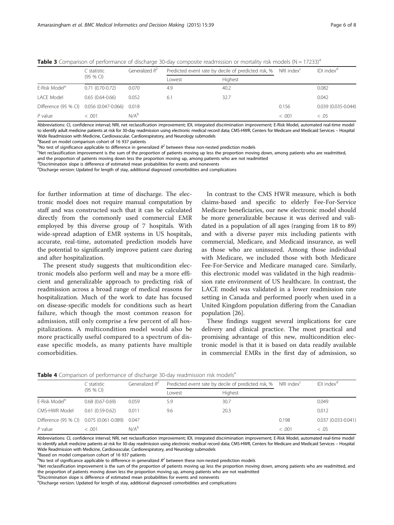<span id="page-5-0"></span>**Table 3** Comparison of performance of discharge 30-day composite readmission or mortality risk models  $(N = 17233)^a$ 

|                                                | C statistic       | Generalized $R^2$ |        | Predicted event rate by decile of predicted risk, % NRI index <sup>c</sup> |        | IDI index <sup>a</sup> |
|------------------------------------------------|-------------------|-------------------|--------|----------------------------------------------------------------------------|--------|------------------------|
|                                                | $(95%$ CI)        |                   | Lowest | <b>Highest</b>                                                             |        |                        |
| E-Risk Model <sup>e</sup>                      | $0.71(0.70-0.72)$ | 0.070             | 4.9    | 40.2                                                                       |        | 0.082                  |
| LACE Model                                     | $0.65(0.64-0.66)$ | 0.052             | 6.1    | 32.7                                                                       |        | 0.042                  |
| Difference (95 % CI) 0.056 (0.047-0.066) 0.018 |                   |                   |        |                                                                            | 0.156  | 0.039 (0.035-0.044)    |
| $P$ value                                      | < .001            | $N/A^b$           |        |                                                                            | < .001 | < .05                  |

Abbreviations: CI, confidence interval; NRI, net reclassification improvement; IDI, integrated discrimination improvement; E-Risk Model, automated real-time model to identify adult medicine patients at risk for 30-day readmission using electronic medical record data; CMS-HWR, Centers for Medicare and Medicaid Services – Hospital Wide Readmission with Medicine, Cardiovascular, Cardiorespiratory, and Neurology submodels

<sup>a</sup>Based on model comparison cohort of 16 937 patients

<sup>b</sup>No test of significance applicable to difference in generalized  $R^2$  between these non-nested prediction models<br>SNet reclassification improvement is the sum of the proportion of patients moving un less the proportion

Net reclassification improvement is the sum of the proportion of patients moving up less the proportion moving down, among patients who are readmitted, and the proportion of patients moving down less the proportion moving up, among patients who are not readmitted

dDiscrimination slope is difference of estimated mean probabilities for events and nonevents

e Discharge version: Updated for length of stay, additional diagnosed comorbidities and complications

for further information at time of discharge. The electronic model does not require manual computation by staff and was constructed such that it can be calculated directly from the commonly used commercial EMR employed by this diverse group of 7 hospitals. With wide-spread adaption of EMR systems in US hospitals, accurate, real-time, automated prediction models have the potential to significantly improve patient care during and after hospitalization.

The present study suggests that multicondition electronic models also perform well and may be a more efficient and generalizable approach to predicting risk of readmission across a broad range of medical reasons for hospitalization. Much of the work to date has focused on disease-specific models for conditions such as heart failure, which though the most common reason for admission, still only comprise a few percent of all hospitalizations. A multicondition model would also be more practically useful compared to a spectrum of disease specific models, as many patients have multiple comorbidities.

In contrast to the CMS HWR measure, which is both claims-based and specific to elderly Fee-For-Service Medicare beneficiaries, our new electronic model should be more generalizable because it was derived and validated in a population of all ages (ranging from 18 to 89) and with a diverse payer mix including patients with commercial, Medicare, and Medicaid insurance, as well as those who are uninsured. Among those individual with Medicare, we included those with both Medicare Fee-For-Service and Medicare managed care. Similarly, this electronic model was validated in the high readmission rate environment of US healthcare. In contrast, the LACE model was validated in a lower readmission rate setting in Canada and performed poorly when used in a United Kingdom population differing from the Canadian population [[26\]](#page-7-0).

These findings suggest several implications for care delivery and clinical practice. The most practical and promising advantage of this new, multicondition electronic model is that it is based on data readily available in commercial EMRs in the first day of admission, so

|                                                | C statistic         | Generalized $R^2$ |        | Predicted event rate by decile of predicted risk, % NRI index <sup>c</sup> |        | IDI index <sup>a</sup> |  |
|------------------------------------------------|---------------------|-------------------|--------|----------------------------------------------------------------------------|--------|------------------------|--|
|                                                | $(95%$ CI)          |                   | Lowest | Highest                                                                    |        |                        |  |
| E-Risk Model <sup>e</sup>                      | $0.68(0.67-0.69)$   | 0.059             | 5.9    | 30.7                                                                       |        | 0.049                  |  |
| CMS-HWR Model                                  | $0.61(0.59 - 0.62)$ | 0.011             | 9.6    | 20.3                                                                       |        | 0.012                  |  |
| Difference (95 % CI) 0.075 (0.061-0.089) 0.047 |                     |                   |        |                                                                            | 0.198  | $0.037(0.033 - 0.041)$ |  |
| $P$ value                                      | < .001              | N/A <sup>b</sup>  |        |                                                                            | < .001 | < .05                  |  |
|                                                |                     |                   |        |                                                                            |        |                        |  |

**Table 4** Comparison of performance of discharge 30-day readmission risk models<sup>a</sup>

Abbreviations: CI, confidence interval; NRI, net reclassification improvement; IDI, integrated discrimination improvement; E-Risk Model, automated real-time model to identify adult medicine patients at risk for 30-day readmission using electronic medical record data; CMS-HWR, Centers for Medicare and Medicaid Services – Hospital Wide Readmission with Medicine, Cardiovascular, Cardiorespiratory, and Neurology submodels

<sup>a</sup>Based on model comparison cohort of 16 937 patients

<sup>c</sup>Net reclassification improvement is the sum of the proportion of patients moving up less the proportion moving down, among patients who are readmitted, and the proportion of patients moving down less the proportion moving up, among patients who are not readmitted

dDiscrimination slope is difference of estimated mean probabilities for events and nonevents

e Discharge version: Updated for length of stay, additional diagnosed comorbidities and complications

 $b^{\text{th}}$ No test of significance applicable to difference in generalized  $R^2$  between these non-nested prediction models<br>Shet reclassification improvement is the sum of the proportion of patients moving up less the propo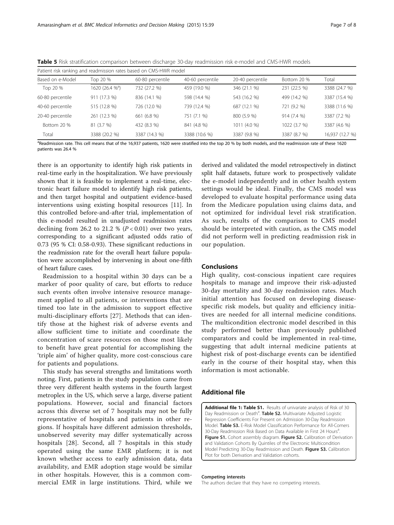| <b>RODGE</b> THE MAIN SUBLIMINATION COMPONED IN DELIVEER MISCHINGE OU GAY TEACH MISSION THOUGH AND ENVIRONMENTS. |          |                  |                  |                  |             |     |  |  |  |
|------------------------------------------------------------------------------------------------------------------|----------|------------------|------------------|------------------|-------------|-----|--|--|--|
| Patient risk ranking and readmission rates based on CMS-HWR model                                                |          |                  |                  |                  |             |     |  |  |  |
| Based on e-Model                                                                                                 | Top 20 % | 60-80 percentile | 40-60 percentile | 20-40 percentile | Bottom 20 % | To1 |  |  |  |

<span id="page-6-0"></span>

|  | <b>Table 5</b> Risk stratification comparison between discharge 30-day readmission risk e-model and CMS-HWR models |  |  |  |  |  |
|--|--------------------------------------------------------------------------------------------------------------------|--|--|--|--|--|
|  |                                                                                                                    |  |  |  |  |  |

| Based on e-Model | Top 20 %                    | 60-80 percentile | 40-60 percentile | 20-40 percentile | Bottom 20 %  | Total           |
|------------------|-----------------------------|------------------|------------------|------------------|--------------|-----------------|
| Top 20 %         | 1620 (26.4 % <sup>a</sup> ) | 732 (27.2 %)     | 459 (19.0 %)     | 346 (21.1 %)     | 231 (22.5 %) | 3388 (24.7 %)   |
| 60-80 percentile | 911 (17.3 %)                | 836 (14.1 %)     | 598 (14.4 %)     | 543 (16.2 %)     | 499 (14.2 %) | 3387 (15.4 %)   |
| 40-60 percentile | 515 (12.8 %)                | 726 (12.0 %)     | 739 (12.4 %)     | 687 (12.1 %)     | 721 (9.2 %)  | 3388 (11.6 %)   |
| 20-40 percentile | 261 (12.3 %)                | 661 (6.8 %)      | 751 (7.1 %)      | 800 (5.9 %)      | 914 (7.4 %)  | 3387 (7.2 %)    |
| Bottom 20 %      | 81 (3.7 %)                  | 432 (8.3 %)      | 841 (4.8 %)      | 1011 (4.0 %)     | 1022 (3.7 %) | 3387 (4.6 %)    |
| Total            | 3388 (20.2 %)               | 3387 (14.3 %)    | 3388 (10.6 %)    | 3387 (9.8 %)     | 3387 (8.7 %) | 16,937 (12.7 %) |
|                  |                             |                  |                  |                  |              |                 |

<sup>a</sup>Readmission rate. This cell means that of the 16,937 patients, 1620 were stratified into the top 20 % by both models, and the readmission rate of these 1620 patients was 26.4 %

there is an opportunity to identify high risk patients in real-time early in the hospitalization. We have previously shown that it is feasible to implement a real-time, electronic heart failure model to identify high risk patients, and then target hospital and outpatient evidence-based interventions using existing hospital resources [[11\]](#page-7-0). In this controlled before-and-after trial, implementation of this e-model resulted in unadjusted readmission rates declining from 26.2 to 21.2 %  $(P < 0.01)$  over two years, corresponding to a significant adjusted odds ratio of 0.73 (95 % CI: 0.58-0.93). These significant reductions in the readmission rate for the overall heart failure population were accomplished by intervening in about one-fifth of heart failure cases.

Readmission to a hospital within 30 days can be a marker of poor quality of care, but efforts to reduce such events often involve intensive resource management applied to all patients, or interventions that are timed too late in the admission to support effective multi-disciplinary efforts [[27](#page-7-0)]. Methods that can identify those at the highest risk of adverse events and allow sufficient time to initiate and coordinate the concentration of scare resources on those most likely to benefit have great potential for accomplishing the 'triple aim' of higher quality, more cost-conscious care for patients and populations.

This study has several strengths and limitations worth noting. First, patients in the study population came from three very different health systems in the fourth largest metroplex in the US, which serve a large, diverse patient populations. However, social and financial factors across this diverse set of 7 hospitals may not be fully representative of hospitals and patients in other regions. If hospitals have different admission thresholds, unobserved severity may differ systematically across hospitals [[28](#page-7-0)]. Second, all 7 hospitals in this study operated using the same EMR platform; it is not known whether access to early admission data, data availability, and EMR adoption stage would be similar in other hospitals. However, this is a common commercial EMR in large institutions. Third, while we

derived and validated the model retrospectively in distinct split half datasets, future work to prospectively validate the e-model independently and in other health system settings would be ideal. Finally, the CMS model was developed to evaluate hospital performance using data from the Medicare population using claims data, and not optimized for individual level risk stratification. As such, results of the comparison to CMS model should be interpreted with caution, as the CMS model did not perform well in predicting readmission risk in our population.

# Conclusions

High quality, cost-conscious inpatient care requires hospitals to manage and improve their risk-adjusted 30-day mortality and 30-day readmission rates. Much initial attention has focused on developing diseasespecific risk models, but quality and efficiency initiatives are needed for all internal medicine conditions. The multicondition electronic model described in this study performed better than previously published comparators and could be implemented in real-time, suggesting that adult internal medicine patients at highest risk of post-discharge events can be identified early in the course of their hospital stay, when this information is most actionable.

# Additional file

[Additional file 1: Table S1.](http://www.biomedcentral.com/content/supplementary/s12911-015-0162-6-s1.docx) Results of univariate analysis of Risk of 30 Day Readmission or Death<sup>a</sup>. Table S2. Multivariate Adjusted Logistic Regression Coefficients For Present on Admission 30-Day Readmission Model. Table S3. E-Risk Model Classification Performance for All-Comers 30-Day Readmission Risk Based on Data Available in First 24 Hours<sup>a</sup>. Figure S1. Cohort assembly diagram. Figure S2. Calibration of Derivation and Validation Cohorts By Quintiles of the Electronic Multicondition Model Predicting 30-Day Readmission and Death. Figure S3. Calibration Plot for both Derivation and Validation cohorts.

#### Competing interests

The authors declare that they have no competing interests.